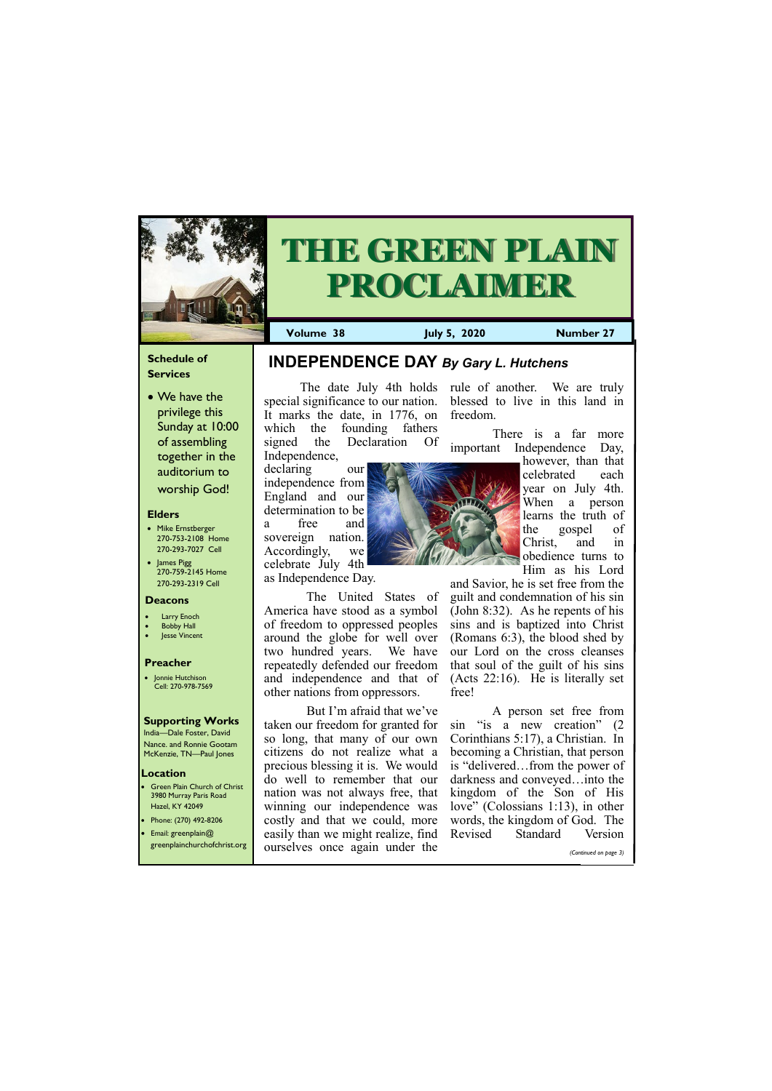## **Schedule of Services**

• We have the privilege this Sunday at 10:00 of assembling together in the auditorium to worship God!

## **Elders**

Green Plain Church of Christ 3980 Murray Paris Road Hazel, KY 42049 • Phone: (270) 492-8206

- Mike Ernstberger 270-753-2108 Home 270-293-7027 Cell
- James Pigg 270-759-2145 Home 270-293-2319 Cell

## **Location**



# **THE GREEN PLAIN PROCLAIMER**

**Volume 38 July 5, 2020 Number 27**

## **Deacons**

- **Larry Enoch**
- **Bobby Hall**
- Jesse Vincent

## **Preacher**

• Jonnie Hutchison Cell: 270-978-7569

## **Supporting Works**

India—Dale Foster, David Nance. and Ronnie Gootam McKenzie, TN—Paul Jones

The date July 4th holds rule of another. We are truly special significance to our nation. blessed to live in this land in It marks the date, in 1776, on which the founding fathers signed the Declaration Of Independence,

declaring our independence from England and our determination to be a free and sovereign nation. Accordingly, we celebrate July 4th as Independence Day.

> A person set free from sin "is a new creation" (2 Corinthians 5:17), a Christian. In becoming a Christian, that person is "delivered…from the power of darkness and conveyed…into the kingdom of the Son of His love" (Colossians 1:13), in other

 The United States of America have stood as a symbol of freedom to oppressed peoples around the globe for well over two hundred years. We have repeatedly defended our freedom and independence and that of other nations from oppressors.

| • Email: greenplain $@$      | easily than we might realize, find Revised | Standard | Version               |
|------------------------------|--------------------------------------------|----------|-----------------------|
| greenplainchurchofchrist.org | ourselves once again under the             |          | (Continued on page 3) |

freedom.

There is a far more

important Independence Day, however, than that celebrated each year on July 4th. When a person learns the truth of the gospel of Christ, and in obedience turns to Him as his Lord

 But I'm afraid that we've taken our freedom for granted for so long, that many of our own citizens do not realize what a precious blessing it is. We would do well to remember that our nation was not always free, that winning our independence was costly and that we could, more words, the kingdom of God. The



and Savior, he is set free from the guilt and condemnation of his sin (John 8:32). As he repents of his sins and is baptized into Christ (Romans 6:3), the blood shed by our Lord on the cross cleanses that soul of the guilt of his sins (Acts 22:16). He is literally set free!

## **INDEPENDENCE DAY** *By Gary L. Hutchens*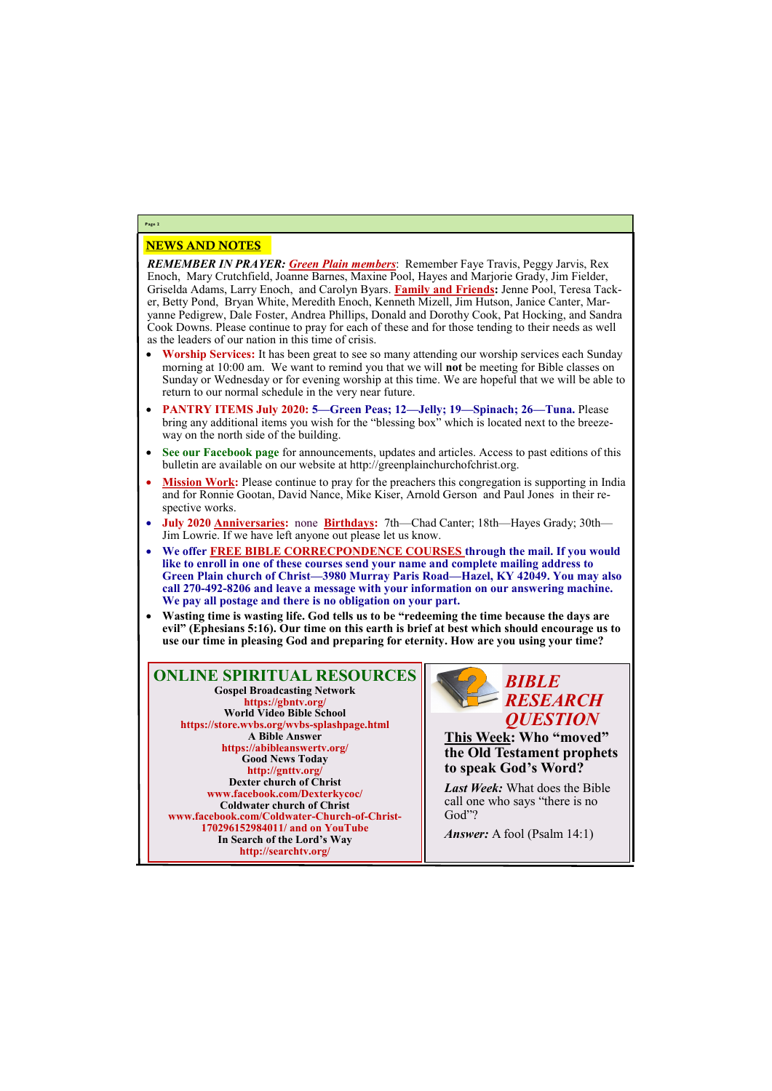## NEWS AND NOTES

*REMEMBER IN PRAYER: Green Plain members*: Remember Faye Travis, Peggy Jarvis, Rex Enoch, Mary Crutchfield, Joanne Barnes, Maxine Pool, Hayes and Marjorie Grady, Jim Fielder, Griselda Adams, Larry Enoch, and Carolyn Byars. **Family and Friends:** Jenne Pool, Teresa Tacker, Betty Pond, Bryan White, Meredith Enoch, Kenneth Mizell, Jim Hutson, Janice Canter, Maryanne Pedigrew, Dale Foster, Andrea Phillips, Donald and Dorothy Cook, Pat Hocking, and Sandra Cook Downs. Please continue to pray for each of these and for those tending to their needs as well as the leaders of our nation in this time of crisis.

- **Worship Services:** It has been great to see so many attending our worship services each Sunday morning at 10:00 am. We want to remind you that we will **not** be meeting for Bible classes on Sunday or Wednesday or for evening worship at this time. We are hopeful that we will be able to return to our normal schedule in the very near future.
- **PANTRY ITEMS July 2020: 5—Green Peas; 12—Jelly; 19—Spinach; 26—Tuna.** Please bring any additional items you wish for the "blessing box" which is located next to the breezeway on the north side of the building.
- **See our Facebook page** for announcements, updates and articles. Access to past editions of this bulletin are available on our website at http://greenplainchurchofchrist.org.
- **Mission Work:** Please continue to pray for the preachers this congregation is supporting in India and for Ronnie Gootan, David Nance, Mike Kiser, Arnold Gerson and Paul Jones in their respective works.
- **July 2020 Anniversaries:** none **Birthdays:** 7th—Chad Canter; 18th—Hayes Grady; 30th— Jim Lowrie. If we have left anyone out please let us know.
- **We offer FREE BIBLE CORRECPONDENCE COURSES through the mail. If you would like to enroll in one of these courses send your name and complete mailing address to Green Plain church of Christ—3980 Murray Paris Road—Hazel, KY 42049. You may also call 270-492-8206 and leave a message with your information on our answering machine. We pay all postage and there is no obligation on your part.**
- **Wasting time is wasting life. God tells us to be "redeeming the time because the days are evil" (Ephesians 5:16). Our time on this earth is brief at best which should encourage us to use our time in pleasing God and preparing for eternity. How are you using your time?**

**Page 2**

**ONLINE SPIRITUAL RESOURCES Gospel Broadcasting Network https://gbntv.org/ World Video Bible School https://store.wvbs.org/wvbs-splashpage.html A Bible Answer https://abibleanswertv.org/ Good News Today http://gnttv.org/ Dexter church of Christ www.facebook.com/Dexterkycoc/ Coldwater church of Christ www.facebook.com/Coldwater-Church-of-Christ-**

> **170296152984011/ and on YouTube In Search of the Lord's Way http://searchtv.org/**



**This Week: Who "moved" the Old Testament prophets to speak God's Word?**

*Last Week:* What does the Bible call one who says "there is no God"?

*Answer:* A fool (Psalm 14:1)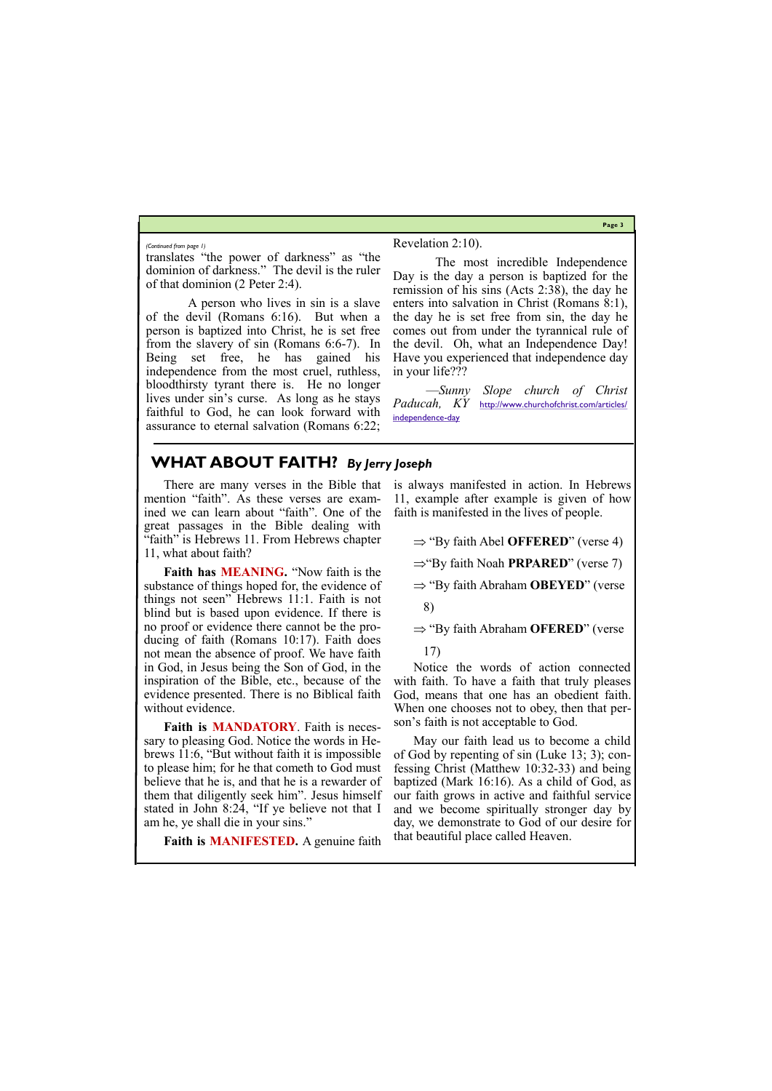**Page 3**

## **WHAT ABOUT FAITH?** *By Jerry Joseph*

translates "the power of darkness" as "the dominion of darkness." The devil is the ruler of that dominion (2 Peter 2:4).

 A person who lives in sin is a slave of the devil (Romans 6:16). But when a person is baptized into Christ, he is set free from the slavery of sin (Romans 6:6-7). In Being set free, he has gained his independence from the most cruel, ruthless, bloodthirsty tyrant there is. He no longer lives under sin's curse. As long as he stays faithful to God, he can look forward with assurance to eternal salvation (Romans 6:22;

## Revelation 2:10).

 The most incredible Independence Day is the day a person is baptized for the remission of his sins (Acts 2:38), the day he enters into salvation in Christ (Romans 8:1), the day he is set free from sin, the day he comes out from under the tyrannical rule of the devil. Oh, what an Independence Day! Have you experienced that independence day in your life???

—*Sunny Slope church of Christ Paducah, KY* [http://www.churchofchrist.com/articles/](http://www.churchofchrist.com/articles/independence-day) [independence-day](http://www.churchofchrist.com/articles/independence-day)

### *(Continued from page 1)*

There are many verses in the Bible that mention "faith". As these verses are examined we can learn about "faith". One of the great passages in the Bible dealing with "faith" is Hebrews 11. From Hebrews chapter 11, what about faith?

- ⇒ "By faith Abraham **OBEYED**" (verse
- 8)

⇒ "By faith Abraham **OFERED**" (verse

**Faith has MEANING.** "Now faith is the substance of things hoped for, the evidence of things not seen" Hebrews 11:1. Faith is not blind but is based upon evidence. If there is no proof or evidence there cannot be the producing of faith (Romans 10:17). Faith does not mean the absence of proof. We have faith in God, in Jesus being the Son of God, in the inspiration of the Bible, etc., because of the evidence presented. There is no Biblical faith without evidence.

**Faith is MANDATORY**. Faith is necessary to pleasing God. Notice the words in Hebrews 11:6, "But without faith it is impossible to please him; for he that cometh to God must believe that he is, and that he is a rewarder of them that diligently seek him". Jesus himself stated in John 8:24, "If ye believe not that I am he, ye shall die in your sins."

is always manifested in action. In Hebrews 11, example after example is given of how faith is manifested in the lives of people.

 $\Rightarrow$  "By faith Abel **OFFERED**" (verse 4)

⇒"By faith Noah **PRPARED**" (verse 7)

17)

Notice the words of action connected with faith. To have a faith that truly pleases God, means that one has an obedient faith. When one chooses not to obey, then that person's faith is not acceptable to God.

**Faith is MANIFESTED.** A genuine faith that beautiful place called Heaven.

May our faith lead us to become a child of God by repenting of sin (Luke 13; 3); confessing Christ (Matthew 10:32-33) and being baptized (Mark 16:16). As a child of God, as our faith grows in active and faithful service and we become spiritually stronger day by day, we demonstrate to God of our desire for